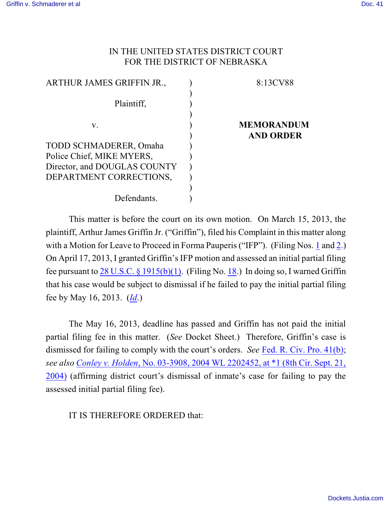## IN THE UNITED STATES DISTRICT COURT FOR THE DISTRICT OF NEBRASKA

| ARTHUR JAMES GRIFFIN JR.,    | 8:13CV88          |
|------------------------------|-------------------|
|                              |                   |
| Plaintiff,                   |                   |
|                              |                   |
| V.                           | <b>MEMORANDUM</b> |
|                              | <b>AND ORDER</b>  |
| TODD SCHMADERER, Omaha       |                   |
| Police Chief, MIKE MYERS,    |                   |
| Director, and DOUGLAS COUNTY |                   |
| DEPARTMENT CORRECTIONS,      |                   |
|                              |                   |
| Defendants.                  |                   |

This matter is before the court on its own motion. On March 15, 2013, the plaintiff, Arthur James Griffin Jr. ("Griffin"), filed his Complaint in this matter along with a Motion for Leave to Proceed in Forma Pauperis ("IFP"). (Filing Nos. [1](https://ecf.ned.uscourts.gov/doc1/11312739872) and [2](https://ecf.ned.uscourts.gov/doc1/11312739880).) On April 17, 2013, I granted Griffin's IFP motion and assessed an initial partial filing fee pursuant to 28 U.S.C. § [1915\(b\)\(1\)](http://web2.westlaw.com/find/default.wl?rs=WLW9.11&ifm=NotSet&fn=_top&sv=Split&cite=28+U.S.C.+%c2%a7+1915(b)(1)&vr=2.0&rp=%2ffind%2fdefault.wl&mt=26). (Filing No. [18](http://ecf.ned.uscourts.gov/doc1/11302763241).) In doing so, I warned Griffin that his case would be subject to dismissal if he failed to pay the initial partial filing fee by May 16, 2013. (*[Id](https://ecf.ned.uscourts.gov/doc1/11312763241)*.)

The May 16, 2013, deadline has passed and Griffin has not paid the initial partial filing fee in this matter. (*See* Docket Sheet.) Therefore, Griffin's case is dismissed for failing to comply with the court's orders. *See* [Fed. R. Civ. Pro. 41\(b\)](http://web2.westlaw.com/find/default.wl?rs=WLW9.11&ifm=NotSet&fn=_top&sv=Split&cite=Fed.+R.+Civ.+P.+41&vr=2.0&rp=%2ffind%2fdefault.wl&mt=26); *see also [Conley v. Holden](http://web2.westlaw.com/find/default.wl?rs=WLW9.11&ifm=NotSet&fn=_top&sv=Split&cite=2004+WL+2202452&vr=2.0&rp=%2ffind%2fdefault.wl&mt=Westlaw)*, No. 03-3908, 2004 WL 2202452, at \*1 (8th Cir. Sept. 21, [2004\)](http://web2.westlaw.com/find/default.wl?rs=WLW9.11&ifm=NotSet&fn=_top&sv=Split&cite=2004+WL+2202452&vr=2.0&rp=%2ffind%2fdefault.wl&mt=Westlaw) (affirming district court's dismissal of inmate's case for failing to pay the assessed initial partial filing fee).

IT IS THEREFORE ORDERED that: